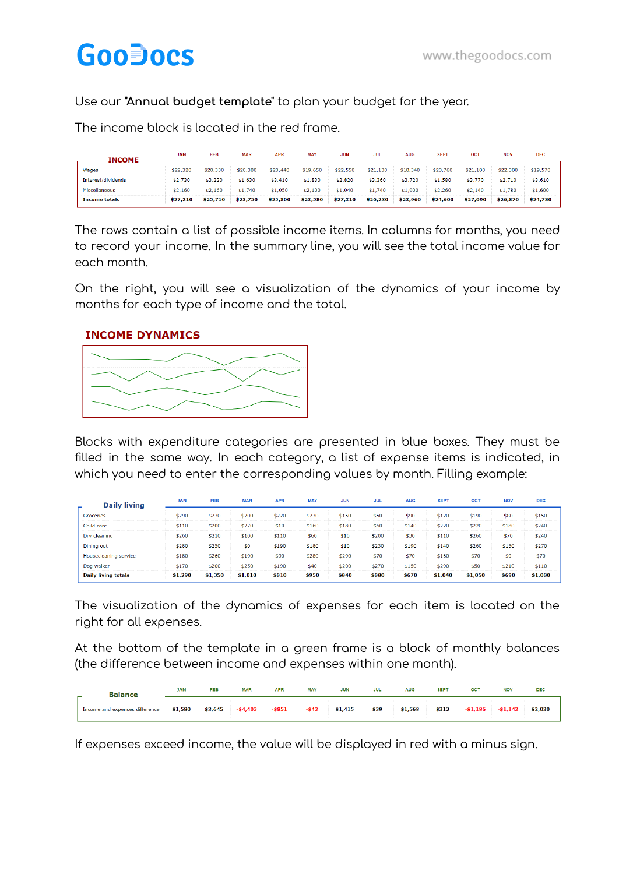## **GooDocs**

Use our **"Annual budget template"** to plan your budget for the year.

The income block is located in the red frame.

| INCOME             | <b>JAN</b> | <b>FFB</b> | <b>MAR</b>    | <b>APR</b> | <b>MAY</b> | <b>JUN</b> | JUL          | <b>AUG</b> | <b>SEPT</b> | <b>OCT</b>   | <b>NOV</b> | DEC.     |
|--------------------|------------|------------|---------------|------------|------------|------------|--------------|------------|-------------|--------------|------------|----------|
| Wages              |            | .330       | \$20,380      | \$20,440   | \$19,650   | \$22,550   | .130<br>\$21 | \$18,340   | \$20<br>760 | .180<br>\$21 | \$22,380   | \$19,570 |
| Interest/dividends | \$2,730    | \$3,220    | \$1.630       | \$3.410    | \$1,830    | \$2.820    | \$3,360      | \$3,720    | .580        | \$3,770      | \$2,710    | \$3,610  |
| Miscellaneous      | \$2.160    | \$2.160    | 740<br>51     | \$1,950    | \$2.100    | \$1,940    | .740         | \$1,900    | \$2.260     | \$2.140      | \$1,780    | \$1,600  |
| Income totals      | \$27,210   | \$25,710   | .750<br>\$23. | \$25.800   | \$23.580   | \$27.310   | \$26.230     | \$23,960   | \$24,600    | \$27,090     | \$26,870   | \$24,780 |

The rows contain a list of possible income items. In columns for months, you need to record your income. In the summary line, you will see the total income value for each month.

On the right, you will see a visualization of the dynamics of your income by months for each type of income and the total.

## **INCOME DYNAMICS**



Blocks with expenditure categories are presented in blue boxes. They must be filled in the same way. In each category, a list of expense items is indicated, in which you need to enter the corresponding values by month. Filling example:

| <b>Daily living</b>        | <b>JAN</b> | <b>FEB</b> | <b>MAR</b> | <b>APR</b> | <b>MAY</b> | <b>JUN</b> | <b>JUL</b> | <b>AUG</b> | <b>SEPT</b> | OCT     | <b>NOV</b> | <b>DEC</b> |
|----------------------------|------------|------------|------------|------------|------------|------------|------------|------------|-------------|---------|------------|------------|
| Groceries                  | \$290      | \$230      | \$200      | \$220      | \$230      | \$150      | \$50       | \$90       | \$120       | \$190   | \$80       | \$150      |
| Child care                 | \$110      | \$200      | \$270      | \$10       | \$160      | \$180      | \$60       | \$140      | \$220       | \$220   | \$180      | \$240      |
| Dry cleaning               | \$260      | \$210      | \$100      | \$110      | \$60       | \$10       | \$200      | \$30       | \$110       | \$260   | \$70       | \$240      |
| Dining out                 | \$280      | \$250      | \$0        | \$190      | \$180      | \$10       | \$230      | \$190      | \$140       | \$260   | \$150      | \$270      |
| Housecleaning service      | \$180      | \$260      | \$190      | \$90       | \$280      | \$290      | \$70       | \$70       | \$160       | \$70    | \$0        | \$70       |
| Dog walker                 | \$170      | \$200      | \$250      | \$190      | \$40       | \$200      | \$270      | \$150      | \$290       | \$50    | \$210      | \$110      |
| <b>Daily living totals</b> | \$1,290    | \$1,350    | \$1,010    | \$810      | \$950      | \$840      | \$880      | \$670      | \$1,040     | \$1,050 | \$690      | \$1,080    |

The visualization of the dynamics of expenses for each item is located on the right for all expenses.

At the bottom of the template in a green frame is a block of monthly balances (the difference between income and expenses within one month).

| <b>Balance</b><br>$\overline{\phantom{a}}$ | <b>JAN</b> | <b>FEB</b> | <b>MAR</b>  | <b>APR</b> | <b>MAY</b> | <b>JUN</b> | <b>JUL</b> | <b>AUG</b> | <b>SEPT</b> | OCT         | <b>NOV</b>  | <b>DEC</b> |
|--------------------------------------------|------------|------------|-------------|------------|------------|------------|------------|------------|-------------|-------------|-------------|------------|
| Income and expenses difference             | \$1,580    | \$3,645    | $-$ \$4,403 | $-$ \$851  | $-$ \$43   | \$1,415    | \$39       | \$1,568    | \$312       | $-$ \$1,186 | $-$ \$1,143 | \$2,030    |

If expenses exceed income, the value will be displayed in red with a minus sign.